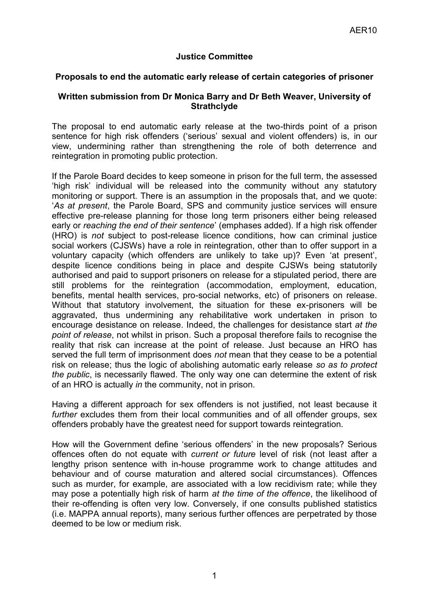## **Justice Committee**

## **Proposals to end the automatic early release of certain categories of prisoner**

## **Written submission from Dr Monica Barry and Dr Beth Weaver, University of Strathclyde**

The proposal to end automatic early release at the two-thirds point of a prison sentence for high risk offenders ('serious' sexual and violent offenders) is, in our view, undermining rather than strengthening the role of both deterrence and reintegration in promoting public protection.

If the Parole Board decides to keep someone in prison for the full term, the assessed 'high risk' individual will be released into the community without any statutory monitoring or support. There is an assumption in the proposals that, and we quote: '*As at present*, the Parole Board, SPS and community justice services will ensure effective pre-release planning for those long term prisoners either being released early or *reaching the end of their sentence*' (emphases added). If a high risk offender (HRO) is *not* subject to post-release licence conditions, how can criminal justice social workers (CJSWs) have a role in reintegration, other than to offer support in a voluntary capacity (which offenders are unlikely to take up)? Even 'at present', despite licence conditions being in place and despite CJSWs being statutorily authorised and paid to support prisoners on release for a stipulated period, there are still problems for the reintegration (accommodation, employment, education, benefits, mental health services, pro-social networks, etc) of prisoners on release. Without that statutory involvement, the situation for these ex-prisoners will be aggravated, thus undermining any rehabilitative work undertaken in prison to encourage desistance on release. Indeed, the challenges for desistance start *at the point of release*, not whilst in prison. Such a proposal therefore fails to recognise the reality that risk can increase at the point of release. Just because an HRO has served the full term of imprisonment does *not* mean that they cease to be a potential risk on release; thus the logic of abolishing automatic early release *so as to protect the public*, is necessarily flawed. The only way one can determine the extent of risk of an HRO is actually *in* the community, not in prison.

Having a different approach for sex offenders is not justified, not least because it *further* excludes them from their local communities and of all offender groups, sex offenders probably have the greatest need for support towards reintegration.

How will the Government define 'serious offenders' in the new proposals? Serious offences often do not equate with *current or future* level of risk (not least after a lengthy prison sentence with in-house programme work to change attitudes and behaviour and of course maturation and altered social circumstances). Offences such as murder, for example, are associated with a low recidivism rate; while they may pose a potentially high risk of harm *at the time of the offence*, the likelihood of their re-offending is often very low. Conversely, if one consults published statistics (i.e. MAPPA annual reports), many serious further offences are perpetrated by those deemed to be low or medium risk.